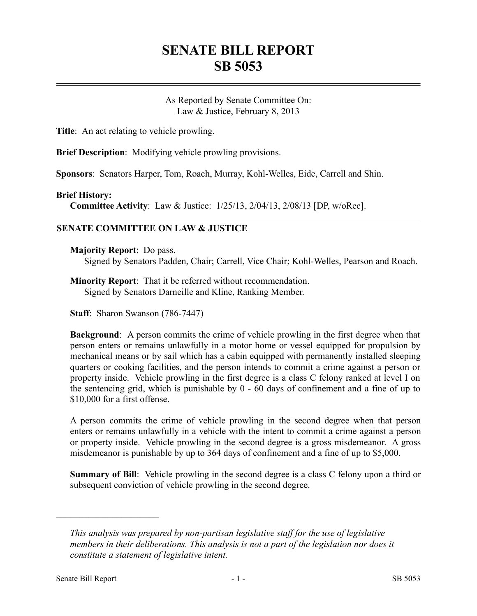# **SENATE BILL REPORT SB 5053**

As Reported by Senate Committee On: Law & Justice, February 8, 2013

**Title**: An act relating to vehicle prowling.

**Brief Description**: Modifying vehicle prowling provisions.

**Sponsors**: Senators Harper, Tom, Roach, Murray, Kohl-Welles, Eide, Carrell and Shin.

#### **Brief History:**

**Committee Activity**: Law & Justice: 1/25/13, 2/04/13, 2/08/13 [DP, w/oRec].

### **SENATE COMMITTEE ON LAW & JUSTICE**

**Majority Report**: Do pass.

Signed by Senators Padden, Chair; Carrell, Vice Chair; Kohl-Welles, Pearson and Roach.

**Minority Report**: That it be referred without recommendation. Signed by Senators Darneille and Kline, Ranking Member.

**Staff**: Sharon Swanson (786-7447)

**Background**: A person commits the crime of vehicle prowling in the first degree when that person enters or remains unlawfully in a motor home or vessel equipped for propulsion by mechanical means or by sail which has a cabin equipped with permanently installed sleeping quarters or cooking facilities, and the person intends to commit a crime against a person or property inside. Vehicle prowling in the first degree is a class C felony ranked at level I on the sentencing grid, which is punishable by 0 - 60 days of confinement and a fine of up to \$10,000 for a first offense.

A person commits the crime of vehicle prowling in the second degree when that person enters or remains unlawfully in a vehicle with the intent to commit a crime against a person or property inside. Vehicle prowling in the second degree is a gross misdemeanor. A gross misdemeanor is punishable by up to 364 days of confinement and a fine of up to \$5,000.

**Summary of Bill**: Vehicle prowling in the second degree is a class C felony upon a third or subsequent conviction of vehicle prowling in the second degree.

––––––––––––––––––––––

*This analysis was prepared by non-partisan legislative staff for the use of legislative members in their deliberations. This analysis is not a part of the legislation nor does it constitute a statement of legislative intent.*